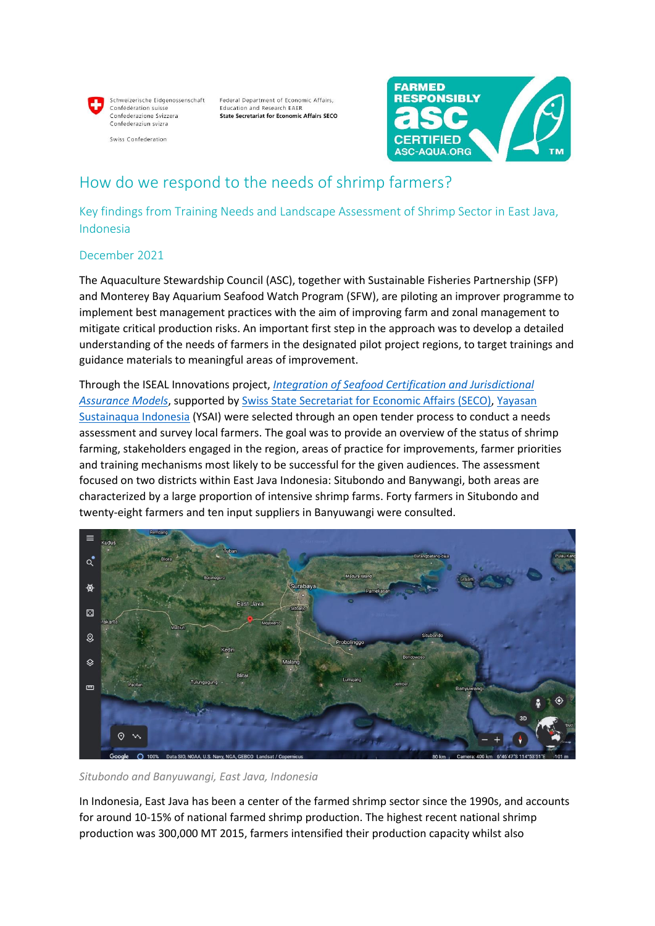Schweizerische Fidgenossenschaft Confédération suisse Confederazione Svizzera Confederaziun svizra

Swiss Confederation

Federal Department of Economic Affairs, Education and Research EAER **State Secretariat for Economic Affairs SECO** 



## How do we respond to the needs of shrimp farmers?

Key findings from Training Needs and Landscape Assessment of Shrimp Sector in East Java, Indonesia

## December 2021

The Aquaculture Stewardship Council (ASC), together with Sustainable Fisheries Partnership (SFP) and Monterey Bay Aquarium Seafood Watch Program (SFW), are piloting an improver programme to implement best management practices with the aim of improving farm and zonal management to mitigate critical production risks. An important first step in the approach was to develop a detailed understanding of the needs of farmers in the designated pilot project regions, to target trainings and guidance materials to meaningful areas of improvement.

Through the ISEAL Innovations project, *[Integration of Seafood Certification and Jurisdictional](https://www.isealalliance.org/innovations-standards/innovations-projects/streamlining-path-towards-sustainability-aquaculture)  [Assurance Models](https://www.isealalliance.org/innovations-standards/innovations-projects/streamlining-path-towards-sustainability-aquaculture)*, supported by [Swiss State Secretariat for Economic Affairs \(SECO\),](https://www.seco.admin.ch/seco/en/home.html) [Yayasan](https://sustainaquaindonesia.org/)  [Sustainaqua Indonesia](https://sustainaquaindonesia.org/) (YSAI) were selected through an open tender process to conduct a needs assessment and survey local farmers. The goal was to provide an overview of the status of shrimp farming, stakeholders engaged in the region, areas of practice for improvements, farmer priorities and training mechanisms most likely to be successful for the given audiences. The assessment focused on two districts within East Java Indonesia: Situbondo and Banywangi, both areas are characterized by a large proportion of intensive shrimp farms. Forty farmers in Situbondo and twenty-eight farmers and ten input suppliers in Banyuwangi were consulted.



## *Situbondo and Banyuwangi, East Java, Indonesia*

In Indonesia, East Java has been a center of the farmed shrimp sector since the 1990s, and accounts for around 10-15% of national farmed shrimp production. The highest recent national shrimp production was 300,000 MT 2015, farmers intensified their production capacity whilst also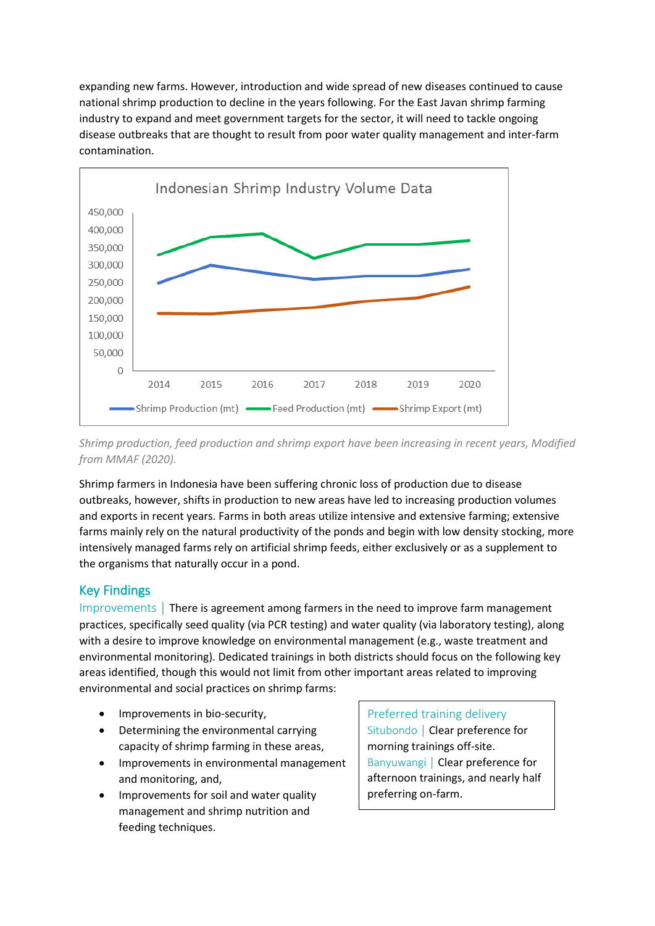expanding new farms. However, introduction and wide spread of new diseases continued to cause national shrimp production to decline in the years following. For the East Javan shrimp farming industry to expand and meet government targets for the sector, it will need to tackle ongoing disease outbreaks that are thought to result from poor water quality management and inter-farm contamination.



*Shrimp production, feed production and shrimp export have been increasing in recent years, Modified from MMAF (2020).*

Shrimp farmers in Indonesia have been suffering chronic loss of production due to disease outbreaks, however, shifts in production to new areas have led to increasing production volumes and exports in recent years. Farms in both areas utilize intensive and extensive farming; extensive farms mainly rely on the natural productivity of the ponds and begin with low density stocking, more intensively managed farms rely on artificial shrimp feeds, either exclusively or as a supplement to the organisms that naturally occur in a pond.

## Key Findings

Improvements │ There is agreement among farmers in the need to improve farm management practices, specifically seed quality (via PCR testing) and water quality (via laboratory testing), along with a desire to improve knowledge on environmental management (e.g., waste treatment and environmental monitoring). Dedicated trainings in both districts should focus on the following key areas identified, though this would not limit from other important areas related to improving environmental and social practices on shrimp farms:

- Improvements in bio-security,
- Determining the environmental carrying capacity of shrimp farming in these areas,
- Improvements in environmental management and monitoring, and,
- Improvements for soil and water quality management and shrimp nutrition and feeding techniques.

Preferred training delivery Situbondo │ Clear preference for morning trainings off-site. Banyuwangi | Clear preference for afternoon trainings, and nearly half preferring on-farm.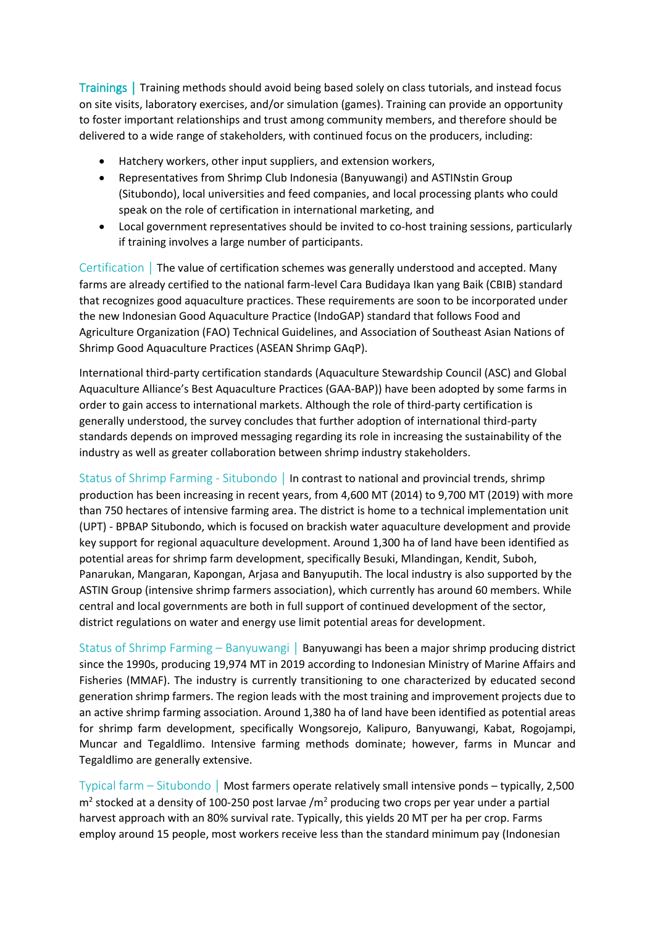Trainings │ Training methods should avoid being based solely on class tutorials, and instead focus on site visits, laboratory exercises, and/or simulation (games). Training can provide an opportunity to foster important relationships and trust among community members, and therefore should be delivered to a wide range of stakeholders, with continued focus on the producers, including:

- Hatchery workers, other input suppliers, and extension workers,
- Representatives from Shrimp Club Indonesia (Banyuwangi) and ASTINstin Group (Situbondo), local universities and feed companies, and local processing plants who could speak on the role of certification in international marketing, and
- Local government representatives should be invited to co-host training sessions, particularly if training involves a large number of participants.

Certification │ The value of certification schemes was generally understood and accepted. Many farms are already certified to the national farm-level Cara Budidaya Ikan yang Baik (CBIB) standard that recognizes good aquaculture practices. These requirements are soon to be incorporated under the new Indonesian Good Aquaculture Practice (IndoGAP) standard that follows Food and Agriculture Organization (FAO) Technical Guidelines, and Association of Southeast Asian Nations of Shrimp Good Aquaculture Practices (ASEAN Shrimp GAqP).

International third-party certification standards (Aquaculture Stewardship Council (ASC) and Global Aquaculture Alliance's Best Aquaculture Practices (GAA-BAP)) have been adopted by some farms in order to gain access to international markets. Although the role of third-party certification is generally understood, the survey concludes that further adoption of international third-party standards depends on improved messaging regarding its role in increasing the sustainability of the industry as well as greater collaboration between shrimp industry stakeholders.

Status of Shrimp Farming - Situbondo │ In contrast to national and provincial trends, shrimp production has been increasing in recent years, from 4,600 MT (2014) to 9,700 MT (2019) with more than 750 hectares of intensive farming area. The district is home to a technical implementation unit (UPT) - BPBAP Situbondo, which is focused on brackish water aquaculture development and provide key support for regional aquaculture development. Around 1,300 ha of land have been identified as potential areas for shrimp farm development, specifically Besuki, Mlandingan, Kendit, Suboh, Panarukan, Mangaran, Kapongan, Arjasa and Banyuputih. The local industry is also supported by the ASTIN Group (intensive shrimp farmers association), which currently has around 60 members. While central and local governments are both in full support of continued development of the sector, district regulations on water and energy use limit potential areas for development.

Status of Shrimp Farming – Banyuwangi | Banyuwangi has been a major shrimp producing district since the 1990s, producing 19,974 MT in 2019 according to Indonesian Ministry of Marine Affairs and Fisheries (MMAF). The industry is currently transitioning to one characterized by educated second generation shrimp farmers. The region leads with the most training and improvement projects due to an active shrimp farming association. Around 1,380 ha of land have been identified as potential areas for shrimp farm development, specifically Wongsorejo, Kalipuro, Banyuwangi, Kabat, Rogojampi, Muncar and Tegaldlimo. Intensive farming methods dominate; however, farms in Muncar and Tegaldlimo are generally extensive.

Typical farm – Situbondo │ Most farmers operate relatively small intensive ponds – typically, 2,500  $m<sup>2</sup>$  stocked at a density of 100-250 post larvae /m<sup>2</sup> producing two crops per year under a partial harvest approach with an 80% survival rate. Typically, this yields 20 MT per ha per crop. Farms employ around 15 people, most workers receive less than the standard minimum pay (Indonesian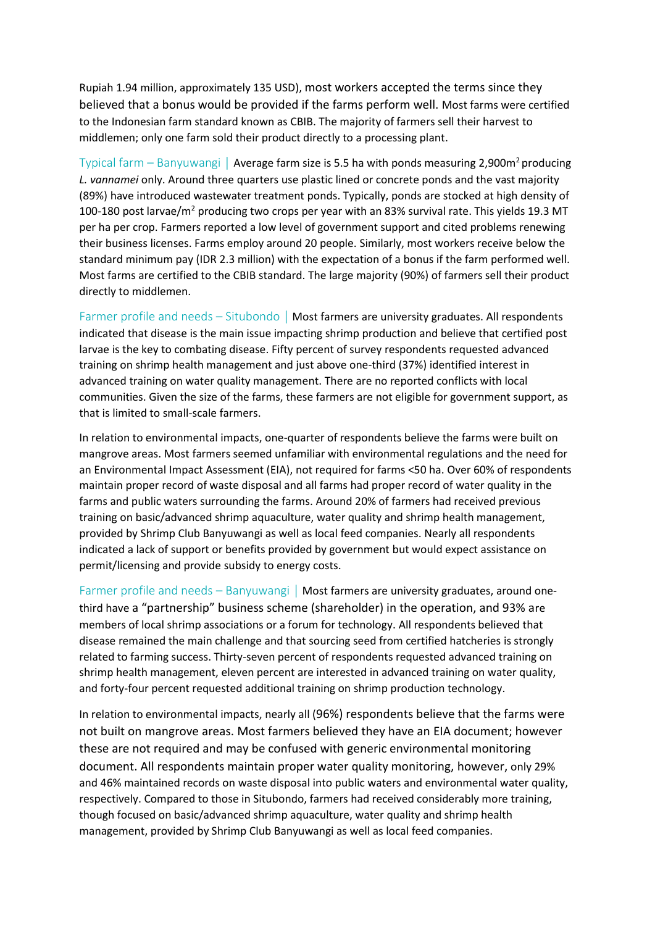Rupiah 1.94 million, approximately 135 USD), most workers accepted the terms since they believed that a bonus would be provided if the farms perform well. Most farms were certified to the Indonesian farm standard known as CBIB. The majority of farmers sell their harvest to middlemen; only one farm sold their product directly to a processing plant.

Typical farm – Banyuwangi | Average farm size is 5.5 ha with ponds measuring 2,900m<sup>2</sup> producing *L. vannamei* only. Around three quarters use plastic lined or concrete ponds and the vast majority (89%) have introduced wastewater treatment ponds. Typically, ponds are stocked at high density of 100-180 post larvae/m<sup>2</sup> producing two crops per year with an 83% survival rate. This yields 19.3 MT per ha per crop. Farmers reported a low level of government support and cited problems renewing their business licenses. Farms employ around 20 people. Similarly, most workers receive below the standard minimum pay (IDR 2.3 million) with the expectation of a bonus if the farm performed well. Most farms are certified to the CBIB standard. The large majority (90%) of farmers sell their product directly to middlemen.

Farmer profile and needs – Situbondo | Most farmers are university graduates. All respondents indicated that disease is the main issue impacting shrimp production and believe that certified post larvae is the key to combating disease. Fifty percent of survey respondents requested advanced training on shrimp health management and just above one-third (37%) identified interest in advanced training on water quality management. There are no reported conflicts with local communities. Given the size of the farms, these farmers are not eligible for government support, as that is limited to small-scale farmers.

In relation to environmental impacts, one-quarter of respondents believe the farms were built on mangrove areas. Most farmers seemed unfamiliar with environmental regulations and the need for an Environmental Impact Assessment (EIA), not required for farms <50 ha. Over 60% of respondents maintain proper record of waste disposal and all farms had proper record of water quality in the farms and public waters surrounding the farms. Around 20% of farmers had received previous training on basic/advanced shrimp aquaculture, water quality and shrimp health management, provided by Shrimp Club Banyuwangi as well as local feed companies. Nearly all respondents indicated a lack of support or benefits provided by government but would expect assistance on permit/licensing and provide subsidy to energy costs.

Farmer profile and needs – Banyuwangi | Most farmers are university graduates, around onethird have a "partnership" business scheme (shareholder) in the operation, and 93% are members of local shrimp associations or a forum for technology. All respondents believed that disease remained the main challenge and that sourcing seed from certified hatcheries is strongly related to farming success. Thirty-seven percent of respondents requested advanced training on shrimp health management, eleven percent are interested in advanced training on water quality, and forty-four percent requested additional training on shrimp production technology.

In relation to environmental impacts, nearly all (96%) respondents believe that the farms were not built on mangrove areas. Most farmers believed they have an EIA document; however these are not required and may be confused with generic environmental monitoring document. All respondents maintain proper water quality monitoring, however, only 29% and 46% maintained records on waste disposal into public waters and environmental water quality, respectively. Compared to those in Situbondo, farmers had received considerably more training, though focused on basic/advanced shrimp aquaculture, water quality and shrimp health management, provided by Shrimp Club Banyuwangi as well as local feed companies.